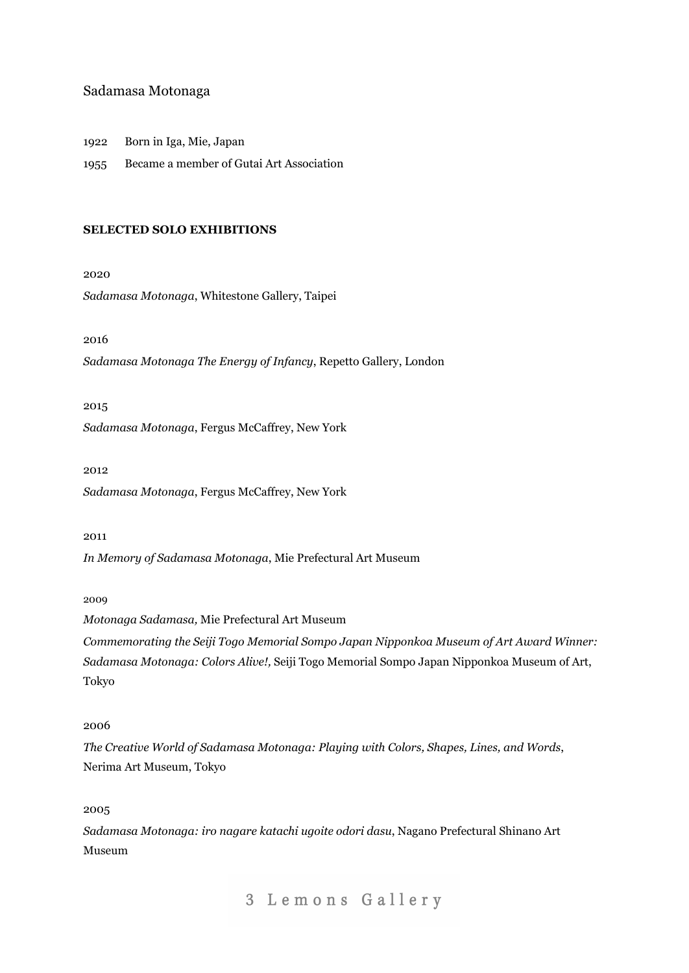## Sadamasa Motonaga

1922 Born in Iga, Mie, Japan

1955 Became a member of Gutai Art Association

#### **SELECTED SOLO EXHIBITIONS**

2020

*Sadamasa Motonaga*, Whitestone Gallery, Taipei

2016

*Sadamasa Motonaga The Energy of Infancy*, Repetto Gallery, London

2015

*Sadamasa Motonaga*, Fergus McCaffrey, New York

2012

*Sadamasa Motonaga*, Fergus McCaffrey, New York

### 2011

*In Memory of Sadamasa Motonaga*, Mie Prefectural Art Museum

#### 2009

*Motonaga Sadamasa,* Mie Prefectural Art Museum

*Commemorating the Seiji Togo Memorial Sompo Japan Nipponkoa Museum of Art Award Winner: Sadamasa Motonaga: Colors Alive!,* Seiji Togo Memorial Sompo Japan Nipponkoa Museum of Art, Tokyo

## 2006

*The Creative World of Sadamasa Motonaga: Playing with Colors, Shapes, Lines, and Words*, Nerima Art Museum, Tokyo

2005

*Sadamasa Motonaga: iro nagare katachi ugoite odori dasu*, Nagano Prefectural Shinano Art Museum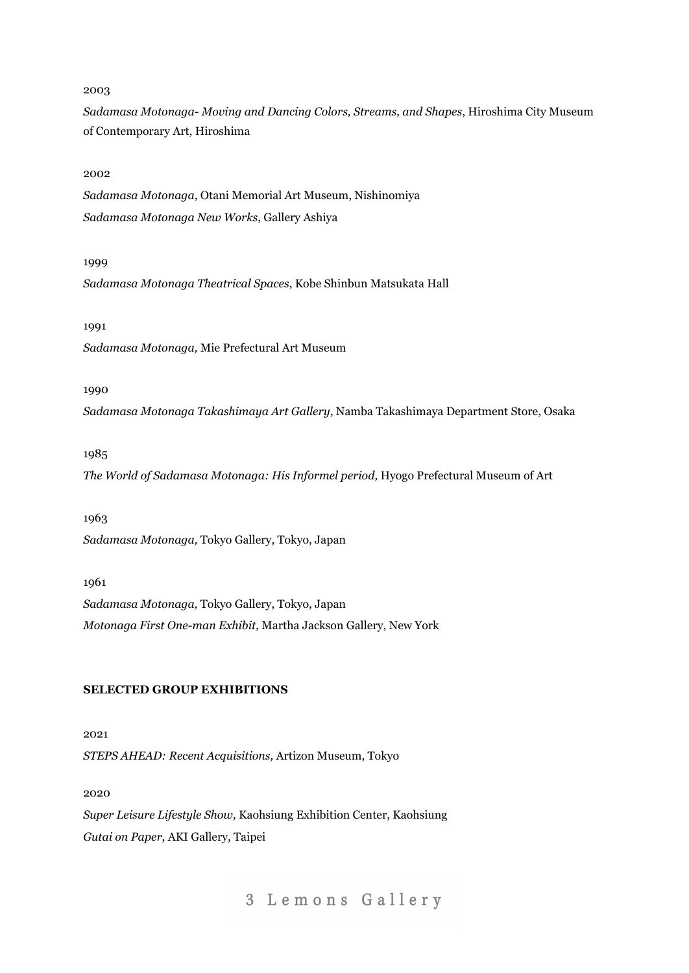*Sadamasa Motonaga- Moving and Dancing Colors, Streams, and Shapes*, Hiroshima City Museum of Contemporary Art, Hiroshima

## 2002

*Sadamasa Motonaga*, Otani Memorial Art Museum, Nishinomiya *Sadamasa Motonaga New Works*, Gallery Ashiya

#### 1999

*Sadamasa Motonaga Theatrical Spaces*, Kobe Shinbun Matsukata Hall

#### 1991

*Sadamasa Motonaga,* Mie Prefectural Art Museum

## 1990

*Sadamasa Motonaga Takashimaya Art Gallery*, Namba Takashimaya Department Store, Osaka

## 1985

*The World of Sadamasa Motonaga: His Informel period,* Hyogo Prefectural Museum of Art

#### 1963

*Sadamasa Motonaga,* Tokyo Gallery, Tokyo, Japan

#### 1961

*Sadamasa Motonaga,* Tokyo Gallery, Tokyo, Japan *Motonaga First One-man Exhibit,* Martha Jackson Gallery, New York

## **SELECTED GROUP EXHIBITIONS**

2021 *STEPS AHEAD: Recent Acquisitions,* Artizon Museum, Tokyo

2020

*Super Leisure Lifestyle Show,* Kaohsiung Exhibition Center, Kaohsiung *Gutai on Paper*, AKI Gallery, Taipei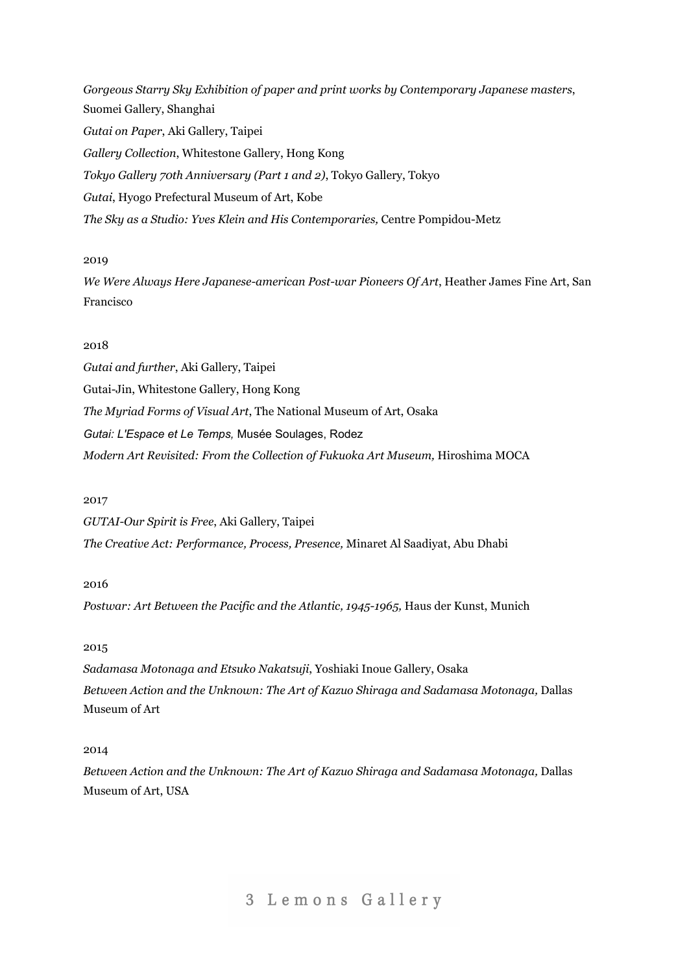*Gorgeous Starry Sky Exhibition of paper and print works by Contemporary Japanese masters*, Suomei Gallery, Shanghai *Gutai on Paper*, Aki Gallery, Taipei *Gallery Collection*, Whitestone Gallery, Hong Kong *Tokyo Gallery 70th Anniversary (Part 1 and 2)*, Tokyo Gallery, Tokyo *Gutai*, Hyogo Prefectural Museum of Art, Kobe *The Sky as a Studio: Yves Klein and His Contemporaries,* Centre Pompidou-Metz

## 2019

*We Were Always Here Japanese-american Post-war Pioneers Of Art*, [Heather](http://www.artnet.com/galleries/heather-james-fine-art/) James Fine Art, San Francisco

## 2018

*Gutai and further*, Aki Gallery, Taipei Gutai-Jin, Whitestone Gallery, Hong Kong *The Myriad Forms of Visual Art*, The National Museum of Art, Osaka *Gutai: L'Espace et Le Temps,* Musée Soulages, Rodez *Modern Art Revisited: From the Collection of Fukuoka Art Museum,* Hiroshima MOCA

## 2017

*GUTAI-Our Spirit is Free*, Aki Gallery, Taipei *The Creative Act: Performance, Process, Presence,* Minaret Al Saadiyat, Abu Dhabi

## 2016

*Postwar: Art Between the Pacific and the Atlantic, 1945-1965,* Haus der Kunst, Munich

## 2015

*Sadamasa Motonaga and Etsuko Nakatsuji*, Yoshiaki Inoue Gallery, Osaka *Between Action and the Unknown: The Art of Kazuo Shiraga and Sadamasa Motonaga,* Dallas Museum of Art

## 2014

*Between Action and the Unknown: The Art of Kazuo Shiraga and Sadamasa Motonaga,* Dallas Museum of Art, USA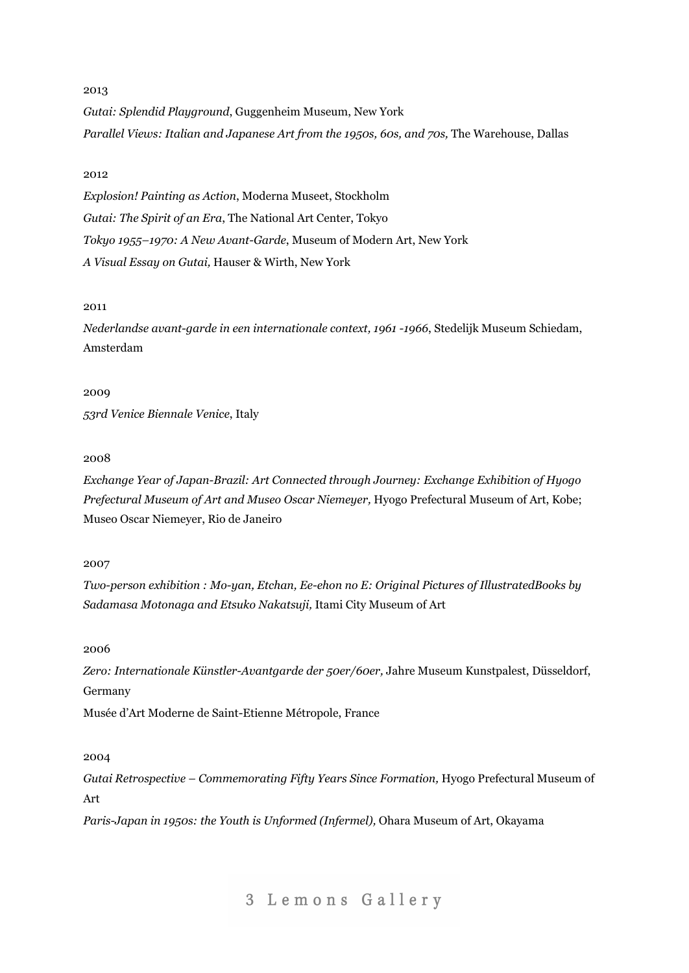*Gutai: Splendid Playground*, Guggenheim Museum, New York *Parallel Views: Italian and Japanese Art from the 1950s, 60s, and 70s,* The Warehouse, Dallas

#### 2012

*Explosion! Painting as Action*, Moderna Museet, Stockholm *Gutai: The Spirit of an Era*, The National Art Center, Tokyo *Tokyo 1955–1970: A New Avant-Garde*, Museum of Modern Art, New York *A Visual Essay on Gutai,* Hauser & Wirth, New York

### 2011

*Nederlandse avant-garde in een internationale context, 1961 -1966*, Stedelijk Museum Schiedam, Amsterdam

#### 2009

*53rd Venice Biennale Venice*, Italy

#### 2008

*Exchange Year of Japan-Brazil: Art Connected through Journey: Exchange Exhibition of Hyogo Prefectural Museum of Art and Museo Oscar Niemeyer,* Hyogo Prefectural Museum of Art, Kobe; Museo Oscar Niemeyer, Rio de Janeiro

#### 2007

*Two-person exhibition : Mo-yan, Etchan, Ee-ehon no E: Original Pictures of IllustratedBooks by Sadamasa Motonaga and Etsuko Nakatsuji,* Itami City Museum of Art

## 2006

*Zero: Internationale Künstler-Avantgarde der 50er/60er,* Jahre Museum Kunstpalest, Düsseldorf, Germany

Musée d'Art Moderne de Saint-Etienne Métropole, France

#### 2004

*Gutai Retrospective – Commemorating Fifty Years Since Formation,* Hyogo Prefectural Museum of Art

*Paris-Japan in 1950s: the Youth is Unformed (Infermel),* Ohara Museum of Art, Okayama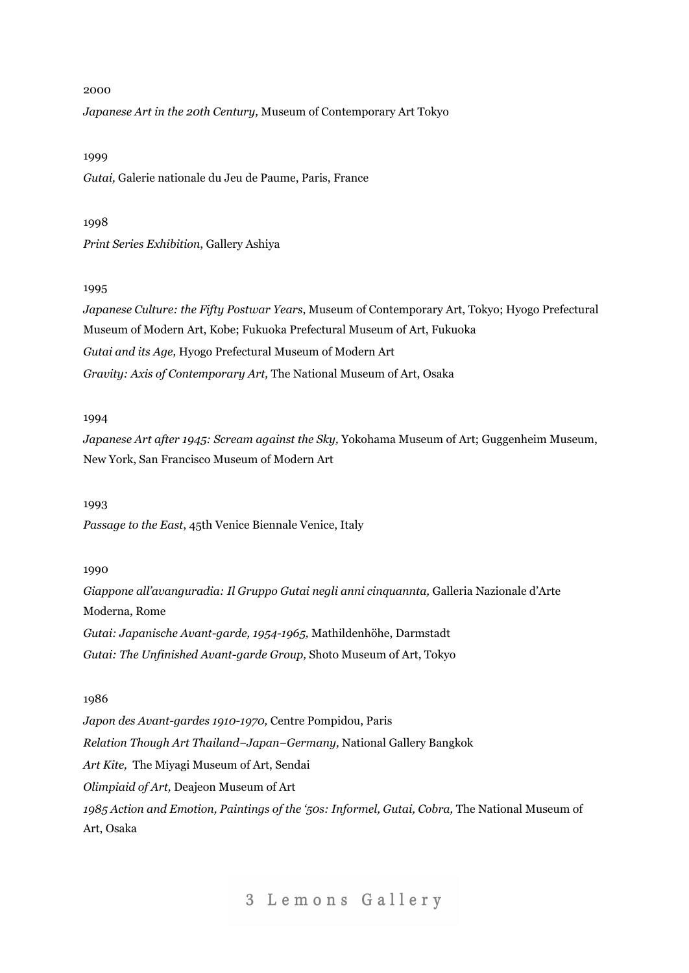*Japanese Art in the 20th Century,* Museum of Contemporary Art Tokyo

#### 1999

*Gutai,* Galerie nationale du Jeu de Paume, Paris, France

#### 1998

*Print Series Exhibition*, Gallery Ashiya

#### 1995

*Japanese Culture: the Fifty Postwar Years*, Museum of Contemporary Art, Tokyo; Hyogo Prefectural Museum of Modern Art, Kobe; Fukuoka Prefectural Museum of Art, Fukuoka *Gutai and its Age,* Hyogo Prefectural Museum of Modern Art *Gravity: Axis of Contemporary Art,* The National Museum of Art, Osaka

## 1994

*Japanese Art after 1945: Scream against the Sky,* Yokohama Museum of Art; Guggenheim Museum, New York, San Francisco Museum of Modern Art

#### 1993

*Passage to the East*, 45th Venice Biennale Venice, Italy

## 1990

*Giappone all'avanguradia: Il Gruppo Gutai negli anni cinquannta,* Galleria Nazionale d'Arte Moderna, Rome *Gutai: Japanische Avant-garde, 1954-1965,* Mathildenhöhe, Darmstadt *Gutai: The Unfinished Avant-garde Group,* Shoto Museum of Art, Tokyo

## 1986

*Japon des Avant-gardes 1910-1970,* Centre Pompidou, Paris *Relation Though Art Thailand−Japan−Germany,* National Gallery Bangkok *Art Kite,* The Miyagi Museum of Art, Sendai *Olimpiaid of Art,* Deajeon Museum of Art *1985 Action and Emotion, Paintings of the '50s: Informel, Gutai, Cobra,* The National Museum of Art, Osaka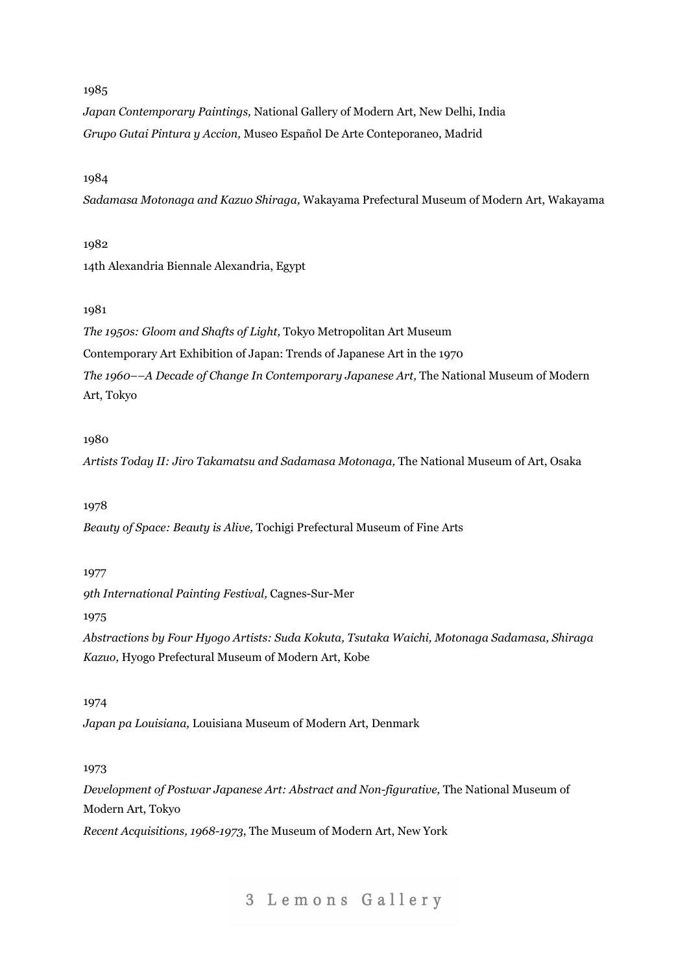*Japan Contemporary Paintings,* National Gallery of Modern Art, New Delhi, India *Grupo Gutai Pintura y Accion,* Museo Español De Arte Conteporaneo, Madrid

## 1984

*Sadamasa Motonaga and Kazuo Shiraga,* Wakayama Prefectural Museum of Modern Art, Wakayama

#### 1982

14th Alexandria Biennale Alexandria, Egypt

## 1981

*The 1950s: Gloom and Shafts of Light,* Tokyo Metropolitan Art Museum Contemporary Art Exhibition of Japan: Trends of Japanese Art in the 1970 *The 1960––A Decade of Change In Contemporary Japanese Art,* The National Museum of Modern Art, Tokyo

## 1980

*Artists Today II: Jiro Takamatsu and Sadamasa Motonaga,* The National Museum of Art, Osaka

#### 1978

*Beauty of Space: Beauty is Alive,* Tochigi Prefectural Museum of Fine Arts

## 1977

*9th International Painting Festival,* Cagnes-Sur-Mer

1975

*Abstractions by Four Hyogo Artists: Suda Kokuta, Tsutaka Waichi, Motonaga Sadamasa, Shiraga Kazuo,* Hyogo Prefectural Museum of Modern Art, Kobe

## 1974

*Japan pa Louisiana,* Louisiana Museum of Modern Art, Denmark

## 1973

*Development of Postwar Japanese Art: Abstract and Non-figurative,* The National Museum of Modern Art, Tokyo

*Recent Acquisitions, 1968-1973*, The Museum of Modern Art, New York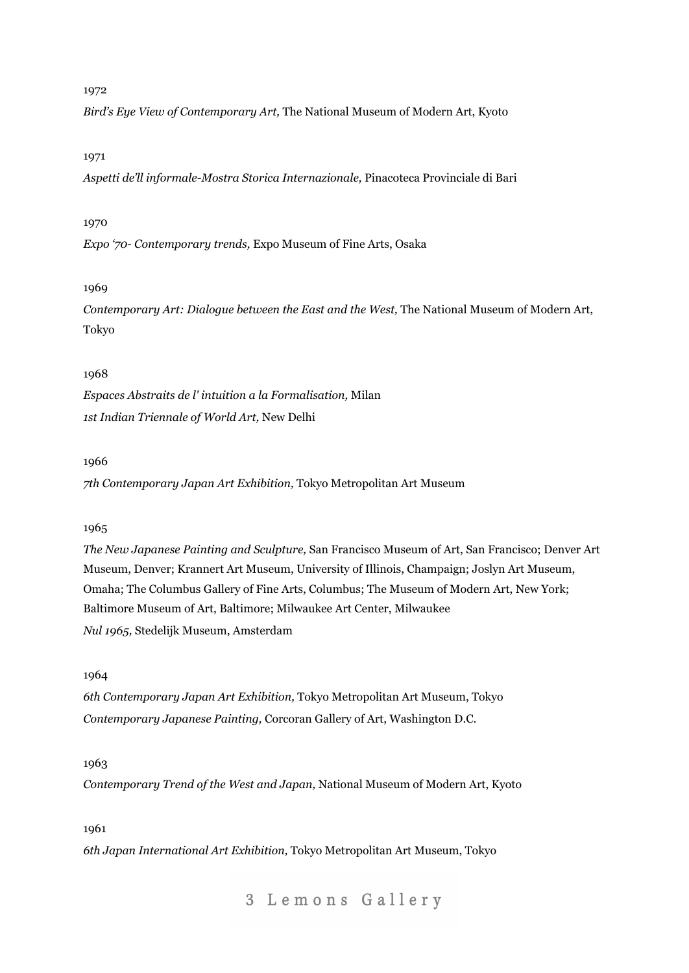*Bird's Eye View of Contemporary Art,* The National Museum of Modern Art, Kyoto

## 1971

*Aspetti de'll informale-Mostra Storica Internazionale,* Pinacoteca Provinciale di Bari

## 1970

*Expo '70- Contemporary trends,* Expo Museum of Fine Arts, Osaka

## 1969

*Contemporary Art: Dialogue between the East and the West,* The National Museum of Modern Art, Tokyo

## 1968

*Espaces Abstraits de l' intuition a la Formalisation,* Milan *1st Indian Triennale of World Art,* New Delhi

## 1966

*7th Contemporary Japan Art Exhibition,* Tokyo Metropolitan Art Museum

## 1965

*The New Japanese Painting and Sculpture,* San Francisco Museum of Art, San Francisco; Denver Art Museum, Denver; Krannert Art Museum, University of Illinois, Champaign; Joslyn Art Museum, Omaha; The Columbus Gallery of Fine Arts, Columbus; The Museum of Modern Art, New York; Baltimore Museum of Art, Baltimore; Milwaukee Art Center, Milwaukee *Nul 1965,* Stedelijk Museum, Amsterdam

## 1964

*6th Contemporary Japan Art Exhibition,* Tokyo Metropolitan Art Museum, Tokyo *Contemporary Japanese Painting,* Corcoran Gallery of Art, Washington D.C.

## 1963

*Contemporary Trend of the West and Japan,* National Museum of Modern Art, Kyoto

## 1961

*6th Japan International Art Exhibition,* Tokyo Metropolitan Art Museum, Tokyo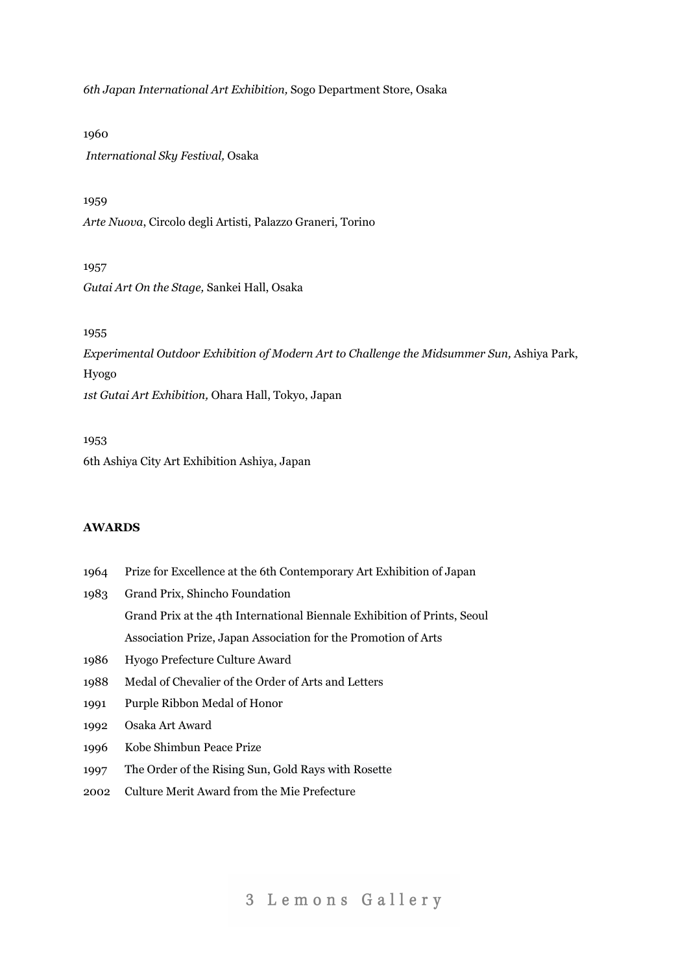*6th Japan International Art Exhibition,* Sogo Department Store, Osaka

1960 *International Sky Festival,* Osaka

## 1959

*Arte Nuova*, Circolo degli Artisti, Palazzo Graneri, Torino

#### 1957

*Gutai Art On the Stage,* Sankei Hall, Osaka

#### 1955

*Experimental Outdoor Exhibition of Modern Art to Challenge the Midsummer Sun,* Ashiya Park, Hyogo *1st Gutai Art Exhibition,* Ohara Hall, Tokyo, Japan

1953 6th Ashiya City Art Exhibition Ashiya, Japan

## **AWARDS**

- 1964 Prize for Excellence at the 6th Contemporary Art Exhibition of Japan
- 1983 Grand Prix, Shincho Foundation Grand Prix at the 4th International Biennale Exhibition of Prints, Seoul Association Prize, Japan Association for the Promotion of Arts
- 1986 Hyogo Prefecture Culture Award
- 1988 Medal of Chevalier of the Order of Arts and Letters
- 1991 Purple Ribbon Medal of Honor
- 1992 Osaka Art Award
- 1996 Kobe Shimbun Peace Prize
- 1997 The Order of the Rising Sun, Gold Rays with Rosette
- 2002 Culture Merit Award from the Mie Prefecture